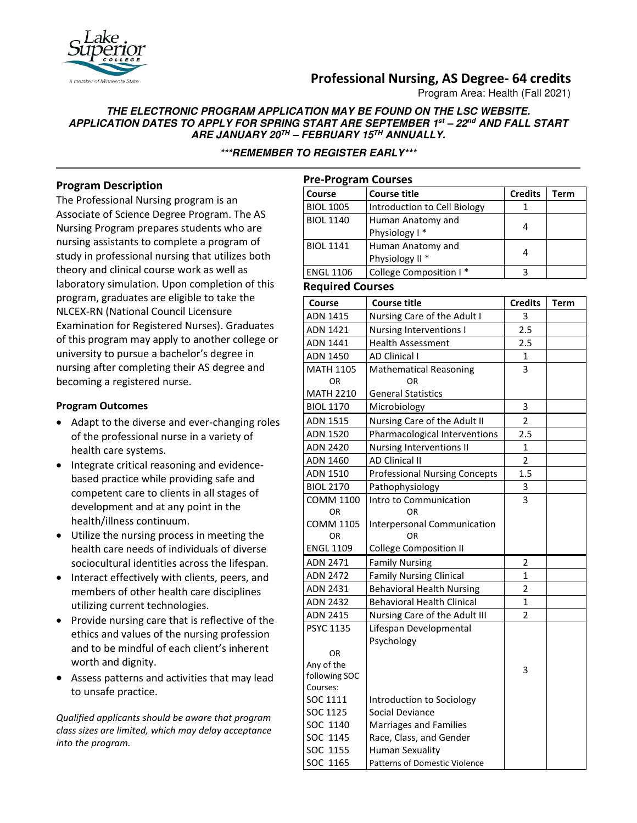# **Professional Nursing, AS Degree- 64 credits**

Program Area: Health (Fall 2021)

## **THE ELECTRONIC PROGRAM APPLICATION MAY BE FOUND ON THE LSC WEBSITE. APPLICATION DATES TO APPLY FOR SPRING START ARE SEPTEMBER 1st – 22nd AND FALL START ARE JANUARY 20TH – FEBRUARY 15TH ANNUALLY.**

**\*\*\*REMEMBER TO REGISTER EARLY\*\*\***

# **Program Description**

The Professional Nursing program is an Associate of Science Degree Program. The AS Nursing Program prepares students who are nursing assistants to complete a program of study in professional nursing that utilizes both theory and clinical course work as well as laboratory simulation. Upon completion of this program, graduates are eligible to take the NLCEX-RN (National Council Licensure Examination for Registered Nurses). Graduates of this program may apply to another college or university to pursue a bachelor's degree in nursing after completing their AS degree and becoming a registered nurse.

## **Program Outcomes**

- Adapt to the diverse and ever-changing roles of the professional nurse in a variety of health care systems.
- Integrate critical reasoning and evidencebased practice while providing safe and competent care to clients in all stages of development and at any point in the health/illness continuum.
- Utilize the nursing process in meeting the health care needs of individuals of diverse sociocultural identities across the lifespan.
- Interact effectively with clients, peers, and members of other health care disciplines utilizing current technologies.
- Provide nursing care that is reflective of the ethics and values of the nursing profession and to be mindful of each client's inherent worth and dignity.
- Assess patterns and activities that may lead to unsafe practice.

*Qualified applicants should be aware that program class sizes are limited, which may delay acceptance into the program.*

| <b>Pre-Program Courses</b> |                                                 |                |      |  |  |  |
|----------------------------|-------------------------------------------------|----------------|------|--|--|--|
| Course                     | <b>Course title</b>                             | <b>Credits</b> | Term |  |  |  |
| <b>BIOL 1005</b>           | Introduction to Cell Biology                    |                |      |  |  |  |
| <b>BIOL 1140</b>           | Human Anatomy and<br>Physiology I*              | 4              |      |  |  |  |
| <b>BIOL 1141</b>           | Human Anatomy and<br>Physiology II <sup>*</sup> | 4              |      |  |  |  |
| <b>ENGL 1106</b>           | College Composition I*                          | 3              |      |  |  |  |

#### **Required Courses**

| Course               | <b>Course title</b>                          | <b>Credits</b> | <b>Term</b> |
|----------------------|----------------------------------------------|----------------|-------------|
| <b>ADN 1415</b>      | Nursing Care of the Adult I                  | 3              |             |
| <b>ADN 1421</b>      | Nursing Interventions I                      | 2.5            |             |
| <b>ADN 1441</b>      | <b>Health Assessment</b>                     | 2.5            |             |
| ADN 1450             | <b>AD Clinical I</b>                         | 1              |             |
| <b>MATH 1105</b>     | <b>Mathematical Reasoning</b>                | 3              |             |
| 0R                   | ΟR                                           |                |             |
| <b>MATH 2210</b>     | <b>General Statistics</b>                    |                |             |
| <b>BIOL 1170</b>     | Microbiology                                 | 3              |             |
| <b>ADN 1515</b>      | Nursing Care of the Adult II                 | $\overline{2}$ |             |
| ADN 1520             | Pharmacological Interventions                | 2.5            |             |
| <b>ADN 2420</b>      | Nursing Interventions II                     | $\mathbf{1}$   |             |
| <b>ADN 1460</b>      | <b>AD Clinical II</b>                        | $\overline{2}$ |             |
| ADN 1510             | <b>Professional Nursing Concepts</b>         | 1.5            |             |
| <b>BIOL 2170</b>     | Pathophysiology                              | 3              |             |
| <b>COMM 1100</b>     | Intro to Communication                       | 3              |             |
| 0R                   | ΟR                                           |                |             |
| <b>COMM 1105</b>     | <b>Interpersonal Communication</b>           |                |             |
| OR                   | OR                                           |                |             |
| <b>ENGL 1109</b>     | <b>College Composition II</b>                |                |             |
| <b>ADN 2471</b>      | <b>Family Nursing</b>                        | 2              |             |
| <b>ADN 2472</b>      | <b>Family Nursing Clinical</b>               | $\mathbf{1}$   |             |
| <b>ADN 2431</b>      | <b>Behavioral Health Nursing</b>             | $\overline{2}$ |             |
| <b>ADN 2432</b>      | <b>Behavioral Health Clinical</b>            | $\mathbf{1}$   |             |
| <b>ADN 2415</b>      | Nursing Care of the Adult III                | $\overline{2}$ |             |
| <b>PSYC 1135</b>     | Lifespan Developmental                       |                |             |
|                      | Psychology                                   |                |             |
| OR.                  |                                              |                |             |
| Any of the           |                                              | 3              |             |
| following SOC        |                                              |                |             |
| Courses:<br>SOC 1111 |                                              |                |             |
| SOC 1125             | Introduction to Sociology<br>Social Deviance |                |             |
| SOC 1140             | <b>Marriages and Families</b>                |                |             |
| SOC 1145             | Race, Class, and Gender                      |                |             |
| SOC 1155             | <b>Human Sexuality</b>                       |                |             |
|                      |                                              |                |             |
| SOC 1165             | <b>Patterns of Domestic Violence</b>         |                |             |